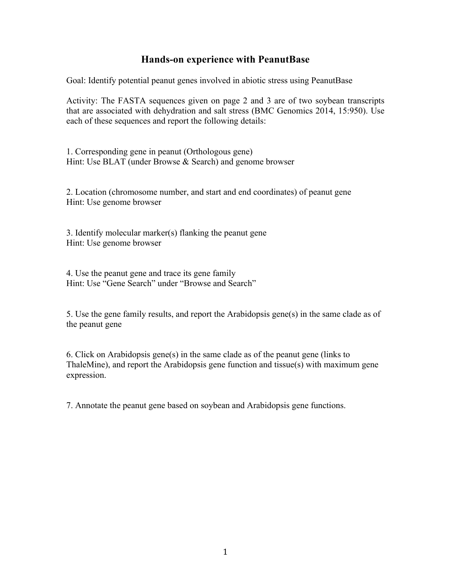## **Hands-on experience with PeanutBase**

Goal: Identify potential peanut genes involved in abiotic stress using PeanutBase

Activity: The FASTA sequences given on page 2 and 3 are of two soybean transcripts that are associated with dehydration and salt stress (BMC Genomics 2014, 15:950). Use each of these sequences and report the following details:

1. Corresponding gene in peanut (Orthologous gene) Hint: Use BLAT (under Browse & Search) and genome browser

2. Location (chromosome number, and start and end coordinates) of peanut gene Hint: Use genome browser

3. Identify molecular marker(s) flanking the peanut gene Hint: Use genome browser

4. Use the peanut gene and trace its gene family Hint: Use "Gene Search" under "Browse and Search"

5. Use the gene family results, and report the Arabidopsis gene(s) in the same clade as of the peanut gene

6. Click on Arabidopsis gene(s) in the same clade as of the peanut gene (links to ThaleMine), and report the Arabidopsis gene function and tissue(s) with maximum gene expression.

7. Annotate the peanut gene based on soybean and Arabidopsis gene functions.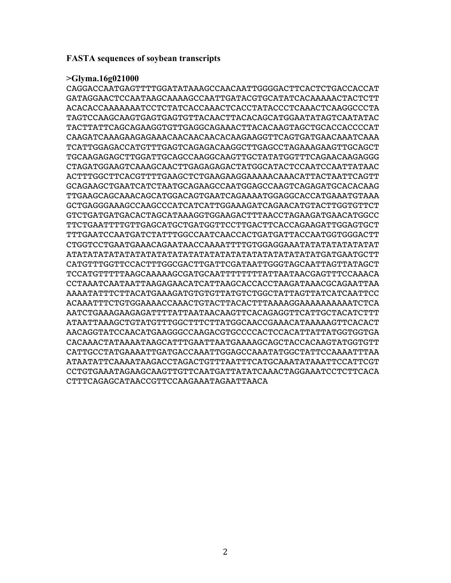## **FASTA sequences of soybean transcripts**

## **>Glyma.16g021000**

CAGGACCAATGAGTTTTGGATATAAAGCCAACAATTGGGGACTTCACTCTGACCACCAT GATAGGAACTCCAATAAGCAAAAGCCAATTGATACGTGCATATCACAAAAACTACTCTT ACACACCAAAAAAATCCTCTATCACCAAACTCACCTATACCCTCAAACTCAAGGCCCTA TAGTCCAAGCAAGTGAGTGAGTGTTACAACTTACACAGCATGGAATATAGTCAATATAC TACTTATTCAGCAGAAGGTGTTGAGGCAGAAACTTACACAAGTAGCTGCACCACCCCAT CAAGATCAAAGAAGAGAAACAACAACAACACAAGAAGGTTCAGTGATGAACAAATCAAA TCATTGGAGACCATGTTTGAGTCAGAGACAAGGCTTGAGCCTAGAAAGAAGTTGCAGCT TGCAAGAGAGCTTGGATTGCAGCCAAGGCAAGTTGCTATATGGTTTCAGAACAAGAGGG CTAGATGGAAGTCAAAGCAACTTGAGAGAGACTATGGCATACTCCAATCCAATTATAAC ACTTTGGCTTCACGTTTTGAAGCTCTGAAGAAGGAAAAACAAACATTACTAATTCAGTT GCAGAAGCTGAATCATCTAATGCAGAAGCCAATGGAGCCAAGTCAGAGATGCACACAAG TTGAAGCAGCAAACAGCATGGACAGTGAATCAGAAAATGGAGGCACCATGAAATGTAAA GCTGAGGGAAAGCCAAGCCCATCATCATTGGAAAGATCAGAACATGTACTTGGTGTTCT GTCTGATGATGACACTAGCATAAAGGTGGAAGACTTTAACCTAGAAGATGAACATGGCC TTCTGAATTTTGTTGAGCATGCTGATGGTTCCTTGACTTCACCAGAAGATTGGAGTGCT TTTGAATCCAATGATCTATTTGGCCAATCAACCACTGATGATTACCAATGGTGGGACTT CTGGTCCTGAATGAAACAGAATAACCAAAATTTTGTGGAGGAAATATATATATATATAT ATATATATATATATATATATATATATATATATATATATATATATATATGATGAATGCTT CATGTTTGGTTCCACTTTGGCGACTTGATTCGATAATTGGGTAGCAATTAGTTATAGCT TCCATGTTTTTAAGCAAAAAGCGATGCAATTTTTTTTATTAATAACGAGTTTCCAAACA CCTAAATCAATAATTAAGAGAACATCATTAAGCACCACCTAAGATAAACGCAGAATTAA AAAATATTTCTTACATGAAAGATGTGTGTTATGTCTGGCTATTAGTTATCATCAATTCC ACAAATTTCTGTGGAAAACCAAACTGTACTTACACTTTAAAAGGAAAAAAAAAATCTCA AATCTGAAAGAAGAGATTTTATTAATAACAAGTTCACAGAGGTTCATTGCTACATCTTT ATAATTAAAGCTGTATGTTTGGCTTTCTTATGGCAACCGAAACATAAAAAGTTCACACT AACAGGTATCCAACATGAAGGGCCAAGACGTGCCCCACTCCACATTATTATGGTGGTGA CACAAACTATAAAATAAGCATTTGAATTAATGAAAAGCAGCTACCACAAGTATGGTGTT CATTGCCTATGAAAATTGATGACCAAATTGGAGCCAAATATGGCTATTCCAAAATTTAA ATAATATTCAAAATAAGACCTAGACTGTTTAATTTCATGCAAATATAAATTCCATTCGT CCTGTGAAATAGAAGCAAGTTGTTCAATGATTATATCAAACTAGGAAATCCTCTTCACA CTTTCAGAGCATAACCGTTCCAAGAAATAGAATTAACA